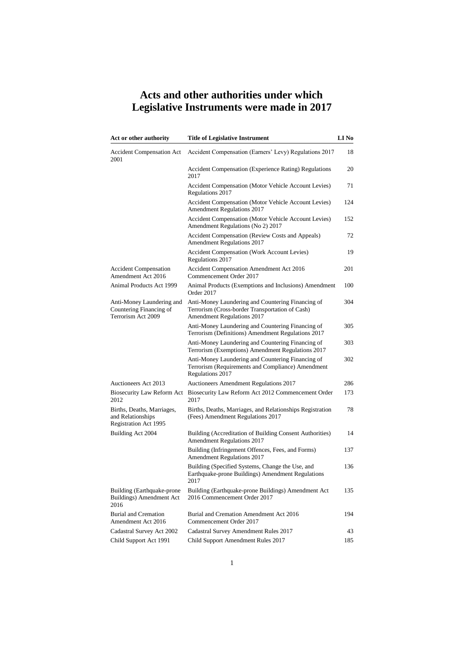| Act or other authority                                                          | <b>Title of Legislative Instrument</b>                                                                                             | LI No |
|---------------------------------------------------------------------------------|------------------------------------------------------------------------------------------------------------------------------------|-------|
| <b>Accident Compensation Act</b><br>2001                                        | Accident Compensation (Earners' Levy) Regulations 2017                                                                             | 18    |
|                                                                                 | <b>Accident Compensation (Experience Rating) Regulations</b><br>2017                                                               | 20    |
|                                                                                 | Accident Compensation (Motor Vehicle Account Levies)<br>Regulations 2017                                                           | 71    |
|                                                                                 | Accident Compensation (Motor Vehicle Account Levies)<br>Amendment Regulations 2017                                                 | 124   |
|                                                                                 | Accident Compensation (Motor Vehicle Account Levies)<br>Amendment Regulations (No 2) 2017                                          | 152   |
|                                                                                 | Accident Compensation (Review Costs and Appeals)<br>Amendment Regulations 2017                                                     | 72    |
|                                                                                 | Accident Compensation (Work Account Levies)<br>Regulations 2017                                                                    | 19    |
| <b>Accident Compensation</b><br>Amendment Act 2016                              | Accident Compensation Amendment Act 2016<br>Commencement Order 2017                                                                | 201   |
| Animal Products Act 1999                                                        | Animal Products (Exemptions and Inclusions) Amendment<br>Order 2017                                                                | 100   |
| Anti-Money Laundering and<br>Countering Financing of<br>Terrorism Act 2009      | Anti-Money Laundering and Countering Financing of<br>Terrorism (Cross-border Transportation of Cash)<br>Amendment Regulations 2017 | 304   |
|                                                                                 | Anti-Money Laundering and Countering Financing of<br>Terrorism (Definitions) Amendment Regulations 2017                            | 305   |
|                                                                                 | Anti-Money Laundering and Countering Financing of<br>Terrorism (Exemptions) Amendment Regulations 2017                             | 303   |
|                                                                                 | Anti-Money Laundering and Countering Financing of<br>Terrorism (Requirements and Compliance) Amendment<br>Regulations 2017         | 302   |
| Auctioneers Act 2013                                                            | Auctioneers Amendment Regulations 2017                                                                                             | 286   |
| Biosecurity Law Reform Act<br>2012                                              | Biosecurity Law Reform Act 2012 Commencement Order<br>2017                                                                         | 173   |
| Births, Deaths, Marriages,<br>and Relationships<br><b>Registration Act 1995</b> | Births, Deaths, Marriages, and Relationships Registration<br>(Fees) Amendment Regulations 2017                                     | 78    |
| Building Act 2004                                                               | Building (Accreditation of Building Consent Authorities)<br><b>Amendment Regulations 2017</b>                                      | 14    |
|                                                                                 | Building (Infringement Offences, Fees, and Forms)<br><b>Amendment Regulations 2017</b>                                             | 137   |
|                                                                                 | Building (Specified Systems, Change the Use, and<br>Earthquake-prone Buildings) Amendment Regulations<br>2017                      | 136   |
| Building (Earthquake-prone)<br>Buildings) Amendment Act<br>2016                 | Building (Earthquake-prone Buildings) Amendment Act<br>2016 Commencement Order 2017                                                | 135   |
| <b>Burial and Cremation</b><br>Amendment Act 2016                               | Burial and Cremation Amendment Act 2016<br>Commencement Order 2017                                                                 | 194   |
| Cadastral Survey Act 2002                                                       | Cadastral Survey Amendment Rules 2017                                                                                              | 43    |
| Child Support Act 1991                                                          | Child Support Amendment Rules 2017                                                                                                 | 185   |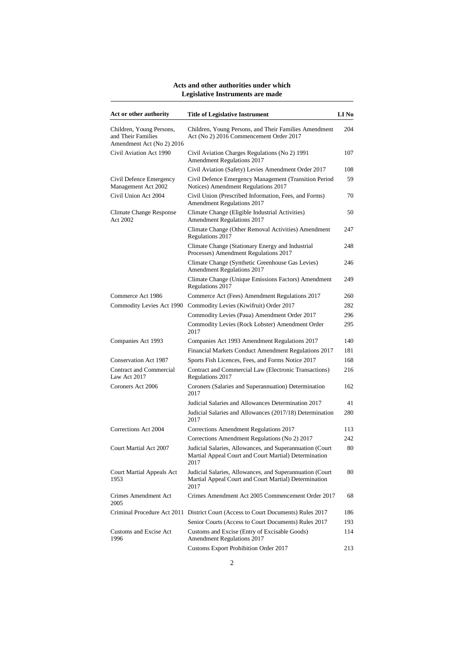| Act or other authority                                                      | <b>Title of Legislative Instrument</b>                                                                                    | LI <sub>No</sub> |
|-----------------------------------------------------------------------------|---------------------------------------------------------------------------------------------------------------------------|------------------|
| Children, Young Persons,<br>and Their Families<br>Amendment Act (No 2) 2016 | Children, Young Persons, and Their Families Amendment<br>Act (No 2) 2016 Commencement Order 2017                          | 204              |
| Civil Aviation Act 1990                                                     | Civil Aviation Charges Regulations (No 2) 1991<br><b>Amendment Regulations 2017</b>                                       | 107              |
|                                                                             | Civil Aviation (Safety) Levies Amendment Order 2017                                                                       | 108              |
| Civil Defence Emergency<br>Management Act 2002                              | Civil Defence Emergency Management (Transition Period<br>Notices) Amendment Regulations 2017                              | 59               |
| Civil Union Act 2004                                                        | Civil Union (Prescribed Information, Fees, and Forms)<br>Amendment Regulations 2017                                       | 70               |
| Climate Change Response<br>Act 2002                                         | Climate Change (Eligible Industrial Activities)<br>Amendment Regulations 2017                                             | 50               |
|                                                                             | Climate Change (Other Removal Activities) Amendment<br>Regulations 2017                                                   | 247              |
|                                                                             | Climate Change (Stationary Energy and Industrial<br>Processes) Amendment Regulations 2017                                 | 248              |
|                                                                             | Climate Change (Synthetic Greenhouse Gas Levies)<br>Amendment Regulations 2017                                            | 246              |
|                                                                             | Climate Change (Unique Emissions Factors) Amendment<br>Regulations 2017                                                   | 249              |
| Commerce Act 1986                                                           | Commerce Act (Fees) Amendment Regulations 2017                                                                            | 260              |
| Commodity Levies Act 1990                                                   | Commodity Levies (Kiwifruit) Order 2017                                                                                   | 282              |
|                                                                             | Commodity Levies (Paua) Amendment Order 2017                                                                              | 296              |
|                                                                             | Commodity Levies (Rock Lobster) Amendment Order<br>2017                                                                   | 295              |
| Companies Act 1993                                                          | Companies Act 1993 Amendment Regulations 2017                                                                             | 140              |
|                                                                             | Financial Markets Conduct Amendment Regulations 2017                                                                      | 181              |
| <b>Conservation Act 1987</b>                                                | Sports Fish Licences, Fees, and Forms Notice 2017                                                                         | 168              |
| Contract and Commercial<br>Law Act 2017                                     | Contract and Commercial Law (Electronic Transactions)<br>Regulations 2017                                                 | 216              |
| Coroners Act 2006                                                           | Coroners (Salaries and Superannuation) Determination<br>2017                                                              | 162              |
|                                                                             | Judicial Salaries and Allowances Determination 2017                                                                       | 41               |
|                                                                             | Judicial Salaries and Allowances (2017/18) Determination<br>2017                                                          | 280              |
| Corrections Act 2004                                                        | Corrections Amendment Regulations 2017                                                                                    | 113              |
|                                                                             | Corrections Amendment Regulations (No 2) 2017                                                                             | 242              |
| Court Martial Act 2007                                                      | Judicial Salaries, Allowances, and Superannuation (Court<br>Martial Appeal Court and Court Martial) Determination<br>2017 | 80               |
| <b>Court Martial Appeals Act</b><br>1953                                    | Judicial Salaries, Allowances, and Superannuation (Court<br>Martial Appeal Court and Court Martial) Determination<br>2017 | 80               |
| <b>Crimes Amendment Act</b><br>2005                                         | Crimes Amendment Act 2005 Commencement Order 2017                                                                         | 68               |
|                                                                             | Criminal Procedure Act 2011 District Court (Access to Court Documents) Rules 2017                                         | 186              |
|                                                                             | Senior Courts (Access to Court Documents) Rules 2017                                                                      | 193              |
| Customs and Excise Act<br>1996                                              | Customs and Excise (Entry of Excisable Goods)<br><b>Amendment Regulations 2017</b>                                        | 114              |
|                                                                             | <b>Customs Export Prohibition Order 2017</b>                                                                              | 213              |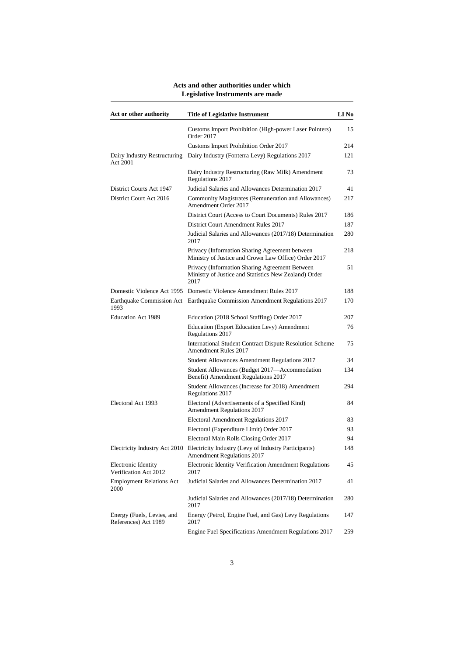| Act or other authority                             | <b>Title of Legislative Instrument</b>                                                                                  | LI No |
|----------------------------------------------------|-------------------------------------------------------------------------------------------------------------------------|-------|
|                                                    | Customs Import Prohibition (High-power Laser Pointers)<br>Order 2017                                                    | 15    |
|                                                    | Customs Import Prohibition Order 2017                                                                                   | 214   |
| Dairy Industry Restructuring<br>Act 2001           | Dairy Industry (Fonterra Levy) Regulations 2017                                                                         | 121   |
|                                                    | Dairy Industry Restructuring (Raw Milk) Amendment<br>Regulations 2017                                                   | 73    |
| District Courts Act 1947                           | Judicial Salaries and Allowances Determination 2017                                                                     | 41    |
| District Court Act 2016                            | Community Magistrates (Remuneration and Allowances)<br>Amendment Order 2017                                             | 217   |
|                                                    | District Court (Access to Court Documents) Rules 2017                                                                   | 186   |
|                                                    | District Court Amendment Rules 2017                                                                                     | 187   |
|                                                    | Judicial Salaries and Allowances (2017/18) Determination<br>2017                                                        | 280   |
|                                                    | Privacy (Information Sharing Agreement between<br>Ministry of Justice and Crown Law Office) Order 2017                  | 218   |
|                                                    | Privacy (Information Sharing Agreement Between<br>Ministry of Justice and Statistics New Zealand) Order<br>2017         | 51    |
|                                                    | Domestic Violence Act 1995 Domestic Violence Amendment Rules 2017                                                       | 188   |
| 1993                                               | Earthquake Commission Act Earthquake Commission Amendment Regulations 2017                                              | 170   |
| <b>Education Act 1989</b>                          | Education (2018 School Staffing) Order 2017                                                                             | 207   |
|                                                    | Education (Export Education Levy) Amendment<br>Regulations 2017                                                         | 76    |
|                                                    | International Student Contract Dispute Resolution Scheme<br>Amendment Rules 2017                                        | 75    |
|                                                    | Student Allowances Amendment Regulations 2017                                                                           | 34    |
|                                                    | Student Allowances (Budget 2017—Accommodation<br>Benefit) Amendment Regulations 2017                                    | 134   |
|                                                    | Student Allowances (Increase for 2018) Amendment<br>Regulations 2017                                                    | 294   |
| Electoral Act 1993                                 | Electoral (Advertisements of a Specified Kind)<br>Amendment Regulations 2017                                            | 84    |
|                                                    | Electoral Amendment Regulations 2017                                                                                    | 83    |
|                                                    | Electoral (Expenditure Limit) Order 2017                                                                                | 93    |
|                                                    | Electoral Main Rolls Closing Order 2017                                                                                 | 94    |
|                                                    | Electricity Industry Act 2010 Electricity Industry (Levy of Industry Participants)<br><b>Amendment Regulations 2017</b> | 148   |
| Electronic Identity<br>Verification Act 2012       | Electronic Identity Verification Amendment Regulations<br>2017                                                          | 45    |
| <b>Employment Relations Act</b><br>2000            | Judicial Salaries and Allowances Determination 2017                                                                     | 41    |
|                                                    | Judicial Salaries and Allowances (2017/18) Determination<br>2017                                                        | 280   |
| Energy (Fuels, Levies, and<br>References) Act 1989 | Energy (Petrol, Engine Fuel, and Gas) Levy Regulations<br>2017                                                          | 147   |
|                                                    | Engine Fuel Specifications Amendment Regulations 2017                                                                   | 259   |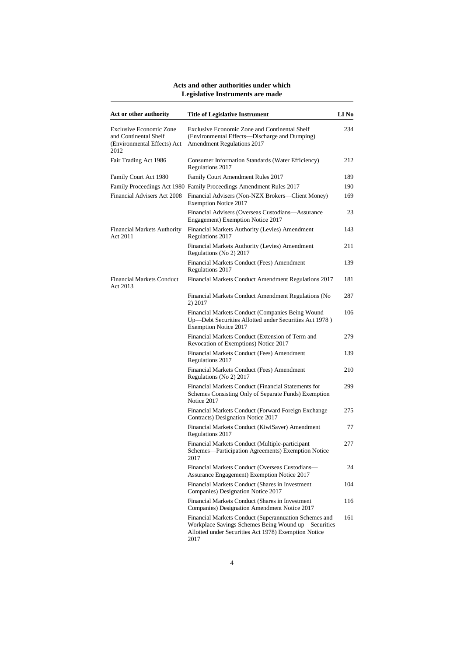| Act or other authority                                                                         | <b>Title of Legislative Instrument</b>                                                                                                                                       | LI No |
|------------------------------------------------------------------------------------------------|------------------------------------------------------------------------------------------------------------------------------------------------------------------------------|-------|
| <b>Exclusive Economic Zone</b><br>and Continental Shelf<br>(Environmental Effects) Act<br>2012 | Exclusive Economic Zone and Continental Shelf<br>(Environmental Effects—Discharge and Dumping)<br>Amendment Regulations 2017                                                 | 234   |
| Fair Trading Act 1986                                                                          | Consumer Information Standards (Water Efficiency)<br>Regulations 2017                                                                                                        | 212   |
| Family Court Act 1980                                                                          | Family Court Amendment Rules 2017                                                                                                                                            | 189   |
|                                                                                                | Family Proceedings Act 1980 Family Proceedings Amendment Rules 2017                                                                                                          | 190   |
| Financial Advisers Act 2008                                                                    | Financial Advisers (Non-NZX Brokers—Client Money)<br><b>Exemption Notice 2017</b>                                                                                            | 169   |
|                                                                                                | Financial Advisers (Overseas Custodians—Assurance<br>Engagement) Exemption Notice 2017                                                                                       | 23    |
| Financial Markets Authority<br>Act 2011                                                        | Financial Markets Authority (Levies) Amendment<br>Regulations 2017                                                                                                           | 143   |
|                                                                                                | Financial Markets Authority (Levies) Amendment<br>Regulations (No 2) 2017                                                                                                    | 211   |
|                                                                                                | Financial Markets Conduct (Fees) Amendment<br>Regulations 2017                                                                                                               | 139   |
| <b>Financial Markets Conduct</b><br>Act 2013                                                   | Financial Markets Conduct Amendment Regulations 2017                                                                                                                         | 181   |
|                                                                                                | Financial Markets Conduct Amendment Regulations (No<br>2) 2017                                                                                                               | 287   |
|                                                                                                | Financial Markets Conduct (Companies Being Wound<br>Up-Debt Securities Allotted under Securities Act 1978)<br><b>Exemption Notice 2017</b>                                   | 106   |
|                                                                                                | Financial Markets Conduct (Extension of Term and<br>Revocation of Exemptions) Notice 2017                                                                                    | 279   |
|                                                                                                | Financial Markets Conduct (Fees) Amendment<br>Regulations 2017                                                                                                               | 139   |
|                                                                                                | Financial Markets Conduct (Fees) Amendment<br>Regulations (No 2) 2017                                                                                                        | 210   |
|                                                                                                | Financial Markets Conduct (Financial Statements for<br>Schemes Consisting Only of Separate Funds) Exemption<br>Notice 2017                                                   | 299   |
|                                                                                                | Financial Markets Conduct (Forward Foreign Exchange<br>Contracts) Designation Notice 2017                                                                                    | 275   |
|                                                                                                | Financial Markets Conduct (KiwiSaver) Amendment<br>Regulations 2017                                                                                                          | 77    |
|                                                                                                | Financial Markets Conduct (Multiple-participant<br>Schemes—Participation Agreements) Exemption Notice<br>2017                                                                | 277   |
|                                                                                                | Financial Markets Conduct (Overseas Custodians-<br>Assurance Engagement) Exemption Notice 2017                                                                               | 24    |
|                                                                                                | Financial Markets Conduct (Shares in Investment<br>Companies) Designation Notice 2017                                                                                        | 104   |
|                                                                                                | Financial Markets Conduct (Shares in Investment<br>Companies) Designation Amendment Notice 2017                                                                              | 116   |
|                                                                                                | Financial Markets Conduct (Superannuation Schemes and<br>Workplace Savings Schemes Being Wound up-Securities<br>Allotted under Securities Act 1978) Exemption Notice<br>2017 | 161   |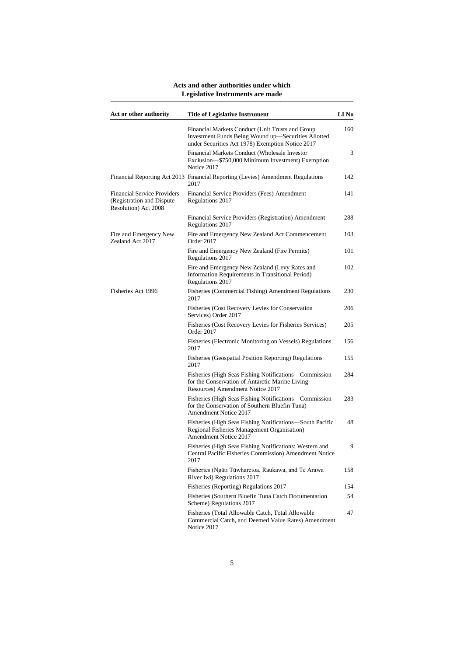| Act or other authority                                                                  | <b>Title of Legislative Instrument</b>                                                                                                                      | LI No |
|-----------------------------------------------------------------------------------------|-------------------------------------------------------------------------------------------------------------------------------------------------------------|-------|
|                                                                                         | Financial Markets Conduct (Unit Trusts and Group<br>Investment Funds Being Wound up-Securities Allotted<br>under Securities Act 1978) Exemption Notice 2017 | 160   |
|                                                                                         | Financial Markets Conduct (Wholesale Investor<br>Exclusion-\$750,000 Minimum Investment) Exemption<br>Notice 2017                                           | 3     |
|                                                                                         | Financial Reporting Act 2013 Financial Reporting (Levies) Amendment Regulations<br>2017                                                                     | 142   |
| <b>Financial Service Providers</b><br>(Registration and Dispute<br>Resolution) Act 2008 | Financial Service Providers (Fees) Amendment<br>Regulations 2017                                                                                            | 141   |
|                                                                                         | Financial Service Providers (Registration) Amendment<br>Regulations 2017                                                                                    | 288   |
| Fire and Emergency New<br>Zealand Act 2017                                              | Fire and Emergency New Zealand Act Commencement<br>Order 2017                                                                                               | 103   |
|                                                                                         | Fire and Emergency New Zealand (Fire Permits)<br>Regulations 2017                                                                                           | 101   |
|                                                                                         | Fire and Emergency New Zealand (Levy Rates and<br>Information Requirements in Transitional Period)<br>Regulations 2017                                      | 102   |
| Fisheries Act 1996                                                                      | Fisheries (Commercial Fishing) Amendment Regulations<br>2017                                                                                                | 230   |
|                                                                                         | Fisheries (Cost Recovery Levies for Conservation<br>Services) Order 2017                                                                                    | 206   |
|                                                                                         | Fisheries (Cost Recovery Levies for Fisheries Services)<br>Order 2017                                                                                       | 205   |
|                                                                                         | Fisheries (Electronic Monitoring on Vessels) Regulations<br>2017                                                                                            | 156   |
|                                                                                         | Fisheries (Geospatial Position Reporting) Regulations<br>2017                                                                                               | 155   |
|                                                                                         | Fisheries (High Seas Fishing Notifications—Commission<br>for the Conservation of Antarctic Marine Living<br>Resources) Amendment Notice 2017                | 284   |
|                                                                                         | Fisheries (High Seas Fishing Notifications—Commission<br>for the Conservation of Southern Bluefin Tuna)<br><b>Amendment Notice 2017</b>                     | 283   |
|                                                                                         | Fisheries (High Seas Fishing Notifications-South Pacific<br>Regional Fisheries Management Organisation)<br>Amendment Notice 2017                            | 48    |
|                                                                                         | Fisheries (High Seas Fishing Notifications: Western and<br>Central Pacific Fisheries Commission) Amendment Notice<br>2017                                   | 9     |
|                                                                                         | Fisheries (Ngāti Tūwharetoa, Raukawa, and Te Arawa<br>River Iwi) Regulations 2017                                                                           | 158   |
|                                                                                         | Fisheries (Reporting) Regulations 2017                                                                                                                      | 154   |
|                                                                                         | Fisheries (Southern Bluefin Tuna Catch Documentation<br>Scheme) Regulations 2017                                                                            | 54    |
|                                                                                         | Fisheries (Total Allowable Catch, Total Allowable<br>Commercial Catch, and Deemed Value Rates) Amendment<br>Notice 2017                                     | 47    |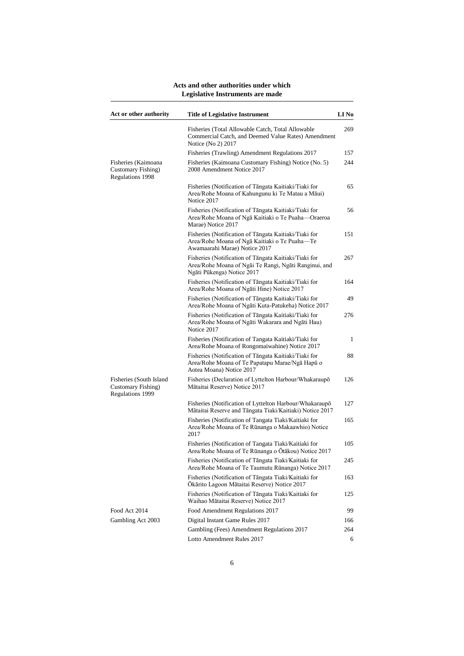| Act or other authority                                            | <b>Title of Legislative Instrument</b>                                                                                                       | <b>LI</b> No |
|-------------------------------------------------------------------|----------------------------------------------------------------------------------------------------------------------------------------------|--------------|
|                                                                   | Fisheries (Total Allowable Catch, Total Allowable<br>Commercial Catch, and Deemed Value Rates) Amendment<br>Notice (No 2) 2017               | 269          |
|                                                                   | Fisheries (Trawling) Amendment Regulations 2017                                                                                              | 157          |
| Fisheries (Kaimoana<br>Customary Fishing)<br>Regulations 1998     | Fisheries (Kaimoana Customary Fishing) Notice (No. 5)<br>2008 Amendment Notice 2017                                                          | 244          |
|                                                                   | Fisheries (Notification of Tangata Kaitiaki/Tiaki for<br>Area/Rohe Moana of Kahungunu ki Te Matau a Māui)<br>Notice 2017                     | 65           |
|                                                                   | Fisheries (Notification of Tāngata Kaitiaki/Tiaki for<br>Area/Rohe Moana of Nga Kaitiaki o Te Puaha-Oraeroa<br>Marae) Notice 2017            | 56           |
|                                                                   | Fisheries (Notification of Tāngata Kaitiaki/Tiaki for<br>Area/Rohe Moana of Nga Kaitiaki o Te Puaha-Te<br>Awamaarahi Marae) Notice 2017      | 151          |
|                                                                   | Fisheries (Notification of Tāngata Kaitiaki/Tiaki for<br>Area/Rohe Moana of Ngai Te Rangi, Ngati Ranginui, and<br>Ngāti Pūkenga) Notice 2017 | 267          |
|                                                                   | Fisheries (Notification of Tāngata Kaitiaki/Tiaki for<br>Area/Rohe Moana of Ngati Hine) Notice 2017                                          | 164          |
|                                                                   | Fisheries (Notification of Tangata Kaitiaki/Tiaki for<br>Area/Rohe Moana of Ngāti Kuta-Patukeha) Notice 2017                                 | 49           |
|                                                                   | Fisheries (Notification of Tāngata Kaitiaki/Tiaki for<br>Area/Rohe Moana of Ngāti Wakarara and Ngāti Hau)<br>Notice 2017                     | 276          |
|                                                                   | Fisheries (Notification of Tangata Kaitiaki/Tiaki for<br>Area/Rohe Moana of Rongomaiwahine) Notice 2017                                      | 1            |
|                                                                   | Fisheries (Notification of Tangata Kaitiaki/Tiaki for<br>Area/Rohe Moana of Te Papatapu Marae/Ngā Hapū o<br>Aotea Moana) Notice 2017         | 88           |
| Fisheries (South Island<br>Customary Fishing)<br>Regulations 1999 | Fisheries (Declaration of Lyttelton Harbour/Whakaraupō<br>Mātaitai Reserve) Notice 2017                                                      | 126          |
|                                                                   | Fisheries (Notification of Lyttelton Harbour/Whakaraupo<br>Mātaitai Reserve and Tāngata Tiaki/Kaitiaki) Notice 2017                          | 127          |
|                                                                   | Fisheries (Notification of Tangata Tiaki/Kaitiaki for<br>Area/Rohe Moana of Te Rūnanga o Makaawhio) Notice<br>2017                           | 165          |
|                                                                   | Fisheries (Notification of Tangata Tiaki/Kaitiaki for<br>Area/Rohe Moana of Te Rūnanga o Ōtākou) Notice 2017                                 | 105          |
|                                                                   | Fisheries (Notification of Tāngata Tiaki/Kaitiaki for<br>Area/Rohe Moana of Te Taumutu Rūnanga) Notice 2017                                  | 245          |
|                                                                   | Fisheries (Notification of Tāngata Tiaki/Kaitiaki for<br>Ōkārito Lagoon Mātaitai Reserve) Notice 2017                                        | 163          |
|                                                                   | Fisheries (Notification of Tāngata Tiaki/Kaitiaki for<br>Waihao Mātaitai Reserve) Notice 2017                                                | 125          |
| Food Act 2014                                                     | Food Amendment Regulations 2017                                                                                                              | 99           |
| Gambling Act 2003                                                 | Digital Instant Game Rules 2017                                                                                                              | 166          |
|                                                                   | Gambling (Fees) Amendment Regulations 2017                                                                                                   | 264          |
|                                                                   | Lotto Amendment Rules 2017                                                                                                                   | 6            |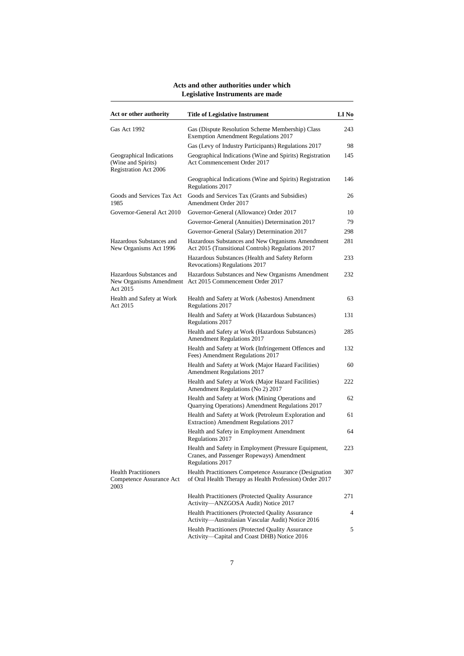| Act or other authority                                                  | <b>Title of Legislative Instrument</b>                                                                                | LI No |
|-------------------------------------------------------------------------|-----------------------------------------------------------------------------------------------------------------------|-------|
| Gas Act 1992                                                            | Gas (Dispute Resolution Scheme Membership) Class<br><b>Exemption Amendment Regulations 2017</b>                       | 243   |
|                                                                         | Gas (Levy of Industry Participants) Regulations 2017                                                                  | 98    |
| Geographical Indications<br>(Wine and Spirits)<br>Registration Act 2006 | Geographical Indications (Wine and Spirits) Registration<br>Act Commencement Order 2017                               | 145   |
|                                                                         | Geographical Indications (Wine and Spirits) Registration<br>Regulations 2017                                          | 146   |
| Goods and Services Tax Act<br>1985                                      | Goods and Services Tax (Grants and Subsidies)<br>Amendment Order 2017                                                 | 26    |
| Governor-General Act 2010                                               | Governor-General (Allowance) Order 2017                                                                               | 10    |
|                                                                         | Governor-General (Annuities) Determination 2017                                                                       | 79    |
|                                                                         | Governor-General (Salary) Determination 2017                                                                          | 298   |
| Hazardous Substances and<br>New Organisms Act 1996                      | Hazardous Substances and New Organisms Amendment<br>Act 2015 (Transitional Controls) Regulations 2017                 | 281   |
|                                                                         | Hazardous Substances (Health and Safety Reform<br>Revocations) Regulations 2017                                       | 233   |
| Hazardous Substances and<br>Act 2015                                    | Hazardous Substances and New Organisms Amendment<br>New Organisms Amendment Act 2015 Commencement Order 2017          | 232   |
| Health and Safety at Work<br>Act 2015                                   | Health and Safety at Work (Asbestos) Amendment<br>Regulations 2017                                                    | 63    |
|                                                                         | Health and Safety at Work (Hazardous Substances)<br>Regulations 2017                                                  | 131   |
|                                                                         | Health and Safety at Work (Hazardous Substances)<br>Amendment Regulations 2017                                        | 285   |
|                                                                         | Health and Safety at Work (Infringement Offences and<br>Fees) Amendment Regulations 2017                              | 132   |
|                                                                         | Health and Safety at Work (Major Hazard Facilities)<br><b>Amendment Regulations 2017</b>                              | 60    |
|                                                                         | Health and Safety at Work (Major Hazard Facilities)<br>Amendment Regulations (No 2) 2017                              | 222   |
|                                                                         | Health and Safety at Work (Mining Operations and<br>Quarrying Operations) Amendment Regulations 2017                  | 62    |
|                                                                         | Health and Safety at Work (Petroleum Exploration and<br>Extraction) Amendment Regulations 2017                        | 61    |
|                                                                         | Health and Safety in Employment Amendment<br>Regulations 2017                                                         | 64    |
|                                                                         | Health and Safety in Employment (Pressure Equipment,<br>Cranes, and Passenger Ropeways) Amendment<br>Regulations 2017 | 223   |
| <b>Health Practitioners</b><br>Competence Assurance Act<br>2003         | Health Practitioners Competence Assurance (Designation<br>of Oral Health Therapy as Health Profession) Order 2017     | 307   |
|                                                                         | Health Practitioners (Protected Quality Assurance<br>Activity-ANZGOSA Audit) Notice 2017                              | 271   |
|                                                                         | Health Practitioners (Protected Quality Assurance<br>Activity-Australasian Vascular Audit) Notice 2016                | 4     |
|                                                                         | Health Practitioners (Protected Quality Assurance<br>Activity-Capital and Coast DHB) Notice 2016                      | 5     |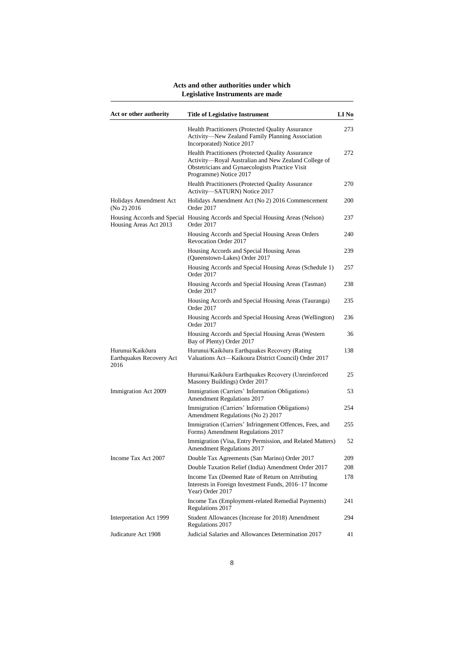| Act or other authority                               | <b>Title of Legislative Instrument</b>                                                                                                                                                 | LI No |
|------------------------------------------------------|----------------------------------------------------------------------------------------------------------------------------------------------------------------------------------------|-------|
|                                                      | <b>Health Practitioners (Protected Quality Assurance</b><br>Activity-New Zealand Family Planning Association<br>Incorporated) Notice 2017                                              | 273   |
|                                                      | Health Practitioners (Protected Quality Assurance<br>Activity-Royal Australian and New Zealand College of<br>Obstetricians and Gynaecologists Practice Visit<br>Programme) Notice 2017 | 272   |
|                                                      | Health Practitioners (Protected Quality Assurance<br>Activity-SATURN) Notice 2017                                                                                                      | 270   |
| Holidays Amendment Act<br>(No 2) 2016                | Holidays Amendment Act (No 2) 2016 Commencement<br>Order 2017                                                                                                                          | 200   |
| Housing Areas Act 2013                               | Housing Accords and Special Housing Accords and Special Housing Areas (Nelson)<br>Order 2017                                                                                           | 237   |
|                                                      | Housing Accords and Special Housing Areas Orders<br>Revocation Order 2017                                                                                                              | 240   |
|                                                      | Housing Accords and Special Housing Areas<br>(Queenstown-Lakes) Order 2017                                                                                                             | 239   |
|                                                      | Housing Accords and Special Housing Areas (Schedule 1)<br>Order 2017                                                                                                                   | 257   |
|                                                      | Housing Accords and Special Housing Areas (Tasman)<br>Order 2017                                                                                                                       | 238   |
|                                                      | Housing Accords and Special Housing Areas (Tauranga)<br>Order 2017                                                                                                                     | 235   |
|                                                      | Housing Accords and Special Housing Areas (Wellington)<br>Order 2017                                                                                                                   | 236   |
|                                                      | Housing Accords and Special Housing Areas (Western<br>Bay of Plenty) Order 2017                                                                                                        | 36    |
| Hurunui/Kaikōura<br>Earthquakes Recovery Act<br>2016 | Hurunui/Kaikōura Earthquakes Recovery (Rating<br>Valuations Act-Kaikoura District Council) Order 2017                                                                                  | 138   |
|                                                      | Hurunui/Kaikōura Earthquakes Recovery (Unreinforced<br>Masonry Buildings) Order 2017                                                                                                   | 25    |
| Immigration Act 2009                                 | Immigration (Carriers' Information Obligations)<br><b>Amendment Regulations 2017</b>                                                                                                   | 53    |
|                                                      | Immigration (Carriers' Information Obligations)<br>Amendment Regulations (No 2) 2017                                                                                                   | 254   |
|                                                      | Immigration (Carriers' Infringement Offences, Fees, and<br>Forms) Amendment Regulations 2017                                                                                           | 255   |
|                                                      | Immigration (Visa, Entry Permission, and Related Matters)<br>Amendment Regulations 2017                                                                                                | 52    |
| Income Tax Act 2007                                  | Double Tax Agreements (San Marino) Order 2017                                                                                                                                          | 209   |
|                                                      | Double Taxation Relief (India) Amendment Order 2017                                                                                                                                    | 208   |
|                                                      | Income Tax (Deemed Rate of Return on Attributing)<br>Interests in Foreign Investment Funds, 2016-17 Income<br>Year) Order 2017                                                         | 178   |
|                                                      | Income Tax (Employment-related Remedial Payments)<br>Regulations 2017                                                                                                                  | 241   |
| Interpretation Act 1999                              | Student Allowances (Increase for 2018) Amendment<br>Regulations 2017                                                                                                                   | 294   |
| Judicature Act 1908                                  | Judicial Salaries and Allowances Determination 2017                                                                                                                                    | 41    |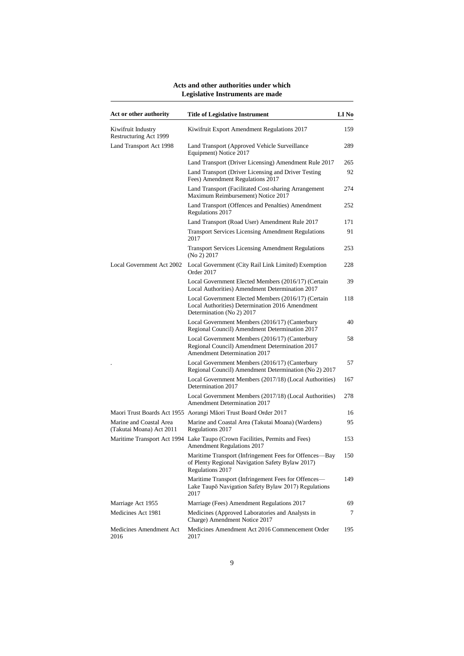| Act or other authority                              | <b>Title of Legislative Instrument</b>                                                                                              | LI No |
|-----------------------------------------------------|-------------------------------------------------------------------------------------------------------------------------------------|-------|
| Kiwifruit Industry<br>Restructuring Act 1999        | Kiwifruit Export Amendment Regulations 2017                                                                                         | 159   |
| Land Transport Act 1998                             | Land Transport (Approved Vehicle Surveillance<br>Equipment) Notice 2017                                                             | 289   |
|                                                     | Land Transport (Driver Licensing) Amendment Rule 2017                                                                               | 265   |
|                                                     | Land Transport (Driver Licensing and Driver Testing)<br>Fees) Amendment Regulations 2017                                            | 92    |
|                                                     | Land Transport (Facilitated Cost-sharing Arrangement<br>Maximum Reimbursement) Notice 2017                                          | 274   |
|                                                     | Land Transport (Offences and Penalties) Amendment<br>Regulations 2017                                                               | 252   |
|                                                     | Land Transport (Road User) Amendment Rule 2017                                                                                      | 171   |
|                                                     | <b>Transport Services Licensing Amendment Regulations</b><br>2017                                                                   | 91    |
|                                                     | <b>Transport Services Licensing Amendment Regulations</b><br>(No 2) 2017                                                            | 253   |
| Local Government Act 2002                           | Local Government (City Rail Link Limited) Exemption<br>Order 2017                                                                   | 228   |
|                                                     | Local Government Elected Members (2016/17) (Certain<br>Local Authorities) Amendment Determination 2017                              | 39    |
|                                                     | Local Government Elected Members (2016/17) (Certain<br>Local Authorities) Determination 2016 Amendment<br>Determination (No 2) 2017 | 118   |
|                                                     | Local Government Members (2016/17) (Canterbury<br>Regional Council) Amendment Determination 2017                                    | 40    |
|                                                     | Local Government Members (2016/17) (Canterbury<br>Regional Council) Amendment Determination 2017<br>Amendment Determination 2017    | 58    |
|                                                     | Local Government Members (2016/17) (Canterbury<br>Regional Council) Amendment Determination (No 2) 2017                             | 57    |
|                                                     | Local Government Members (2017/18) (Local Authorities)<br>Determination 2017                                                        | 167   |
|                                                     | Local Government Members (2017/18) (Local Authorities)<br><b>Amendment Determination 2017</b>                                       | 278   |
|                                                     | Maori Trust Boards Act 1955 Aorangi Māori Trust Board Order 2017                                                                    | 16    |
| Marine and Coastal Area<br>(Takutai Moana) Act 2011 | Marine and Coastal Area (Takutai Moana) (Wardens)<br>Regulations 2017                                                               | 95    |
|                                                     | Maritime Transport Act 1994 Lake Taupo (Crown Facilities, Permits and Fees)<br>Amendment Regulations 2017                           | 153   |
|                                                     | Maritime Transport (Infringement Fees for Offences-Bay<br>of Plenty Regional Navigation Safety Bylaw 2017)<br>Regulations 2017      | 150   |
|                                                     | Maritime Transport (Infringement Fees for Offences—<br>Lake Taupō Navigation Safety Bylaw 2017) Regulations<br>2017                 | 149   |
| Marriage Act 1955                                   | Marriage (Fees) Amendment Regulations 2017                                                                                          | 69    |
| Medicines Act 1981                                  | Medicines (Approved Laboratories and Analysts in<br>Charge) Amendment Notice 2017                                                   | 7     |
| Medicines Amendment Act<br>2016                     | Medicines Amendment Act 2016 Commencement Order<br>2017                                                                             | 195   |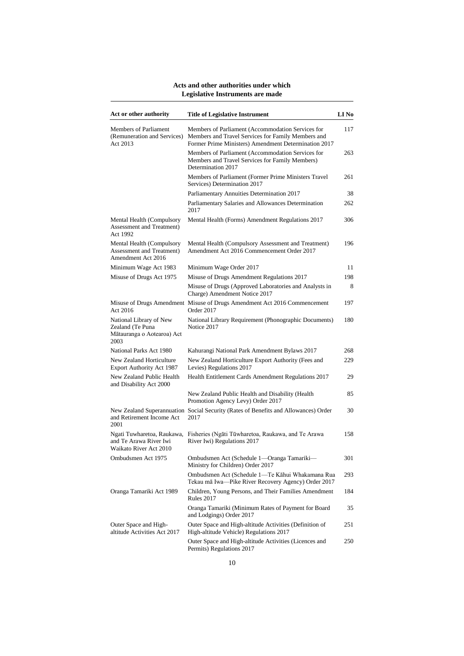| Act or other authority                                                            | <b>Title of Legislative Instrument</b>                                                                                                                          | LI No |
|-----------------------------------------------------------------------------------|-----------------------------------------------------------------------------------------------------------------------------------------------------------------|-------|
| Members of Parliament<br>(Remuneration and Services)<br>Act 2013                  | Members of Parliament (Accommodation Services for<br>Members and Travel Services for Family Members and<br>Former Prime Ministers) Amendment Determination 2017 | 117   |
|                                                                                   | Members of Parliament (Accommodation Services for<br>Members and Travel Services for Family Members)<br>Determination 2017                                      | 263   |
|                                                                                   | Members of Parliament (Former Prime Ministers Travel<br>Services) Determination 2017                                                                            | 261   |
|                                                                                   | Parliamentary Annuities Determination 2017                                                                                                                      | 38    |
|                                                                                   | Parliamentary Salaries and Allowances Determination<br>2017                                                                                                     | 262   |
| Mental Health (Compulsory<br>Assessment and Treatment)<br>Act 1992                | Mental Health (Forms) Amendment Regulations 2017                                                                                                                | 306   |
| Mental Health (Compulsory<br>Assessment and Treatment)<br>Amendment Act 2016      | Mental Health (Compulsory Assessment and Treatment)<br>Amendment Act 2016 Commencement Order 2017                                                               | 196   |
| Minimum Wage Act 1983                                                             | Minimum Wage Order 2017                                                                                                                                         | 11    |
| Misuse of Drugs Act 1975                                                          | Misuse of Drugs Amendment Regulations 2017                                                                                                                      | 198   |
|                                                                                   | Misuse of Drugs (Approved Laboratories and Analysts in<br>Charge) Amendment Notice 2017                                                                         | 8     |
| Act 2016                                                                          | Misuse of Drugs Amendment Misuse of Drugs Amendment Act 2016 Commencement<br>Order 2017                                                                         | 197   |
| National Library of New<br>Zealand (Te Puna<br>Mātauranga o Aotearoa) Act<br>2003 | National Library Requirement (Phonographic Documents)<br>Notice 2017                                                                                            | 180   |
| National Parks Act 1980                                                           | Kahurangi National Park Amendment Bylaws 2017                                                                                                                   | 268   |
| New Zealand Horticulture<br>Export Authority Act 1987                             | New Zealand Horticulture Export Authority (Fees and<br>Levies) Regulations 2017                                                                                 | 229   |
| New Zealand Public Health<br>and Disability Act 2000                              | Health Entitlement Cards Amendment Regulations 2017                                                                                                             | 29    |
|                                                                                   | New Zealand Public Health and Disability (Health<br>Promotion Agency Levy) Order 2017                                                                           | 85    |
| and Retirement Income Act<br>2001                                                 | New Zealand Superannuation Social Security (Rates of Benefits and Allowances) Order<br>2017                                                                     | 30    |
| Ngati Tuwharetoa, Raukawa,<br>and Te Arawa River Iwi<br>Waikato River Act 2010    | Fisheries (Ngāti Tūwharetoa, Raukawa, and Te Arawa<br>River Iwi) Regulations 2017                                                                               | 158   |
| Ombudsmen Act 1975                                                                | Ombudsmen Act (Schedule 1-Oranga Tamariki-<br>Ministry for Children) Order 2017                                                                                 | 301   |
|                                                                                   | Ombudsmen Act (Schedule 1-Te Kāhui Whakamana Rua<br>Tekau mā Iwa-Pike River Recovery Agency) Order 2017                                                         | 293   |
| Oranga Tamariki Act 1989                                                          | Children, Young Persons, and Their Families Amendment<br><b>Rules 2017</b>                                                                                      | 184   |
|                                                                                   | Oranga Tamariki (Minimum Rates of Payment for Board<br>and Lodgings) Order 2017                                                                                 | 35    |
| Outer Space and High-<br>altitude Activities Act 2017                             | Outer Space and High-altitude Activities (Definition of<br>High-altitude Vehicle) Regulations 2017                                                              | 251   |
|                                                                                   | Outer Space and High-altitude Activities (Licences and<br>Permits) Regulations 2017                                                                             | 250   |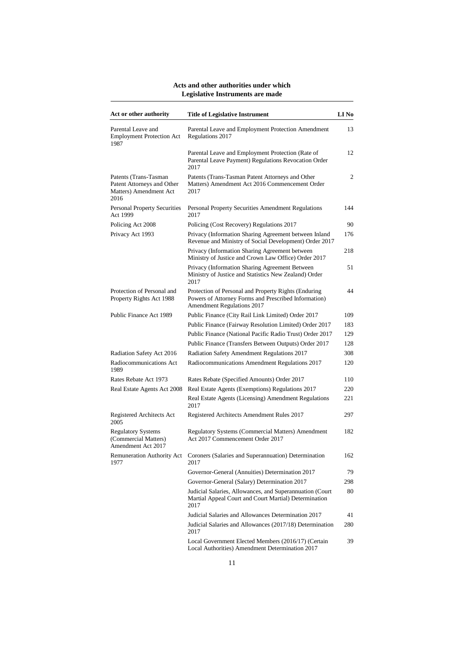| Act or other authority                                                                 | <b>Title of Legislative Instrument</b>                                                                                                     | LI No |
|----------------------------------------------------------------------------------------|--------------------------------------------------------------------------------------------------------------------------------------------|-------|
| Parental Leave and<br><b>Employment Protection Act</b><br>1987                         | Parental Leave and Employment Protection Amendment<br>Regulations 2017                                                                     | 13    |
|                                                                                        | Parental Leave and Employment Protection (Rate of<br>Parental Leave Payment) Regulations Revocation Order<br>2017                          | 12    |
| Patents (Trans-Tasman)<br>Patent Attorneys and Other<br>Matters) Amendment Act<br>2016 | Patents (Trans-Tasman Patent Attorneys and Other<br>Matters) Amendment Act 2016 Commencement Order<br>2017                                 | 2     |
| <b>Personal Property Securities</b><br>Act 1999                                        | Personal Property Securities Amendment Regulations<br>2017                                                                                 | 144   |
| Policing Act 2008                                                                      | Policing (Cost Recovery) Regulations 2017                                                                                                  | 90    |
| Privacy Act 1993                                                                       | Privacy (Information Sharing Agreement between Inland<br>Revenue and Ministry of Social Development) Order 2017                            | 176   |
|                                                                                        | Privacy (Information Sharing Agreement between<br>Ministry of Justice and Crown Law Office) Order 2017                                     | 218   |
|                                                                                        | Privacy (Information Sharing Agreement Between<br>Ministry of Justice and Statistics New Zealand) Order<br>2017                            | 51    |
| Protection of Personal and<br>Property Rights Act 1988                                 | Protection of Personal and Property Rights (Enduring<br>Powers of Attorney Forms and Prescribed Information)<br>Amendment Regulations 2017 | 44    |
| Public Finance Act 1989                                                                | Public Finance (City Rail Link Limited) Order 2017                                                                                         | 109   |
|                                                                                        | Public Finance (Fairway Resolution Limited) Order 2017                                                                                     | 183   |
|                                                                                        | Public Finance (National Pacific Radio Trust) Order 2017                                                                                   | 129   |
|                                                                                        | Public Finance (Transfers Between Outputs) Order 2017                                                                                      | 128   |
| Radiation Safety Act 2016                                                              | Radiation Safety Amendment Regulations 2017                                                                                                | 308   |
| Radiocommunications Act<br>1989                                                        | Radiocommunications Amendment Regulations 2017                                                                                             | 120   |
| Rates Rebate Act 1973                                                                  | Rates Rebate (Specified Amounts) Order 2017                                                                                                | 110   |
| Real Estate Agents Act 2008                                                            | Real Estate Agents (Exemptions) Regulations 2017                                                                                           | 220   |
|                                                                                        | Real Estate Agents (Licensing) Amendment Regulations<br>2017                                                                               | 221   |
| Registered Architects Act<br>2005                                                      | Registered Architects Amendment Rules 2017                                                                                                 | 297   |
| <b>Regulatory Systems</b><br>(Commercial Matters)<br>Amendment Act 2017                | Regulatory Systems (Commercial Matters) Amendment<br>Act 2017 Commencement Order 2017                                                      | 182   |
| 1977                                                                                   | Remuneration Authority Act Coroners (Salaries and Superannuation) Determination<br>2017                                                    | 162   |
|                                                                                        | Governor-General (Annuities) Determination 2017                                                                                            | 79    |
|                                                                                        | Governor-General (Salary) Determination 2017                                                                                               | 298   |
|                                                                                        | Judicial Salaries, Allowances, and Superannuation (Court<br>Martial Appeal Court and Court Martial) Determination<br>2017                  | 80    |
|                                                                                        | Judicial Salaries and Allowances Determination 2017                                                                                        | 41    |
|                                                                                        | Judicial Salaries and Allowances (2017/18) Determination<br>2017                                                                           | 280   |
|                                                                                        | Local Government Elected Members (2016/17) (Certain<br>Local Authorities) Amendment Determination 2017                                     | 39    |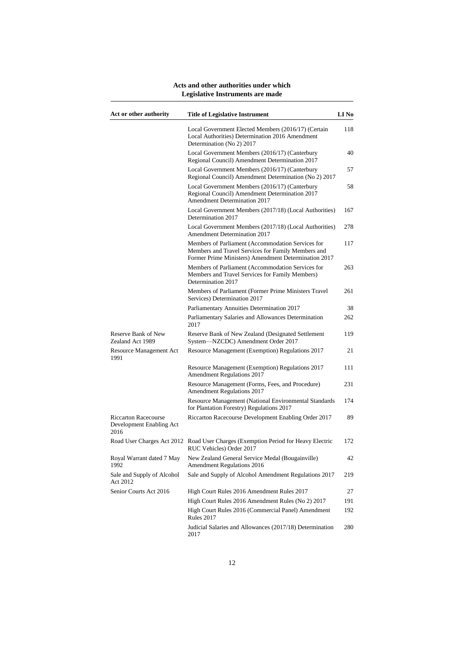| Act or other authority                                          | <b>Title of Legislative Instrument</b>                                                                                                                          | LI No |
|-----------------------------------------------------------------|-----------------------------------------------------------------------------------------------------------------------------------------------------------------|-------|
|                                                                 | Local Government Elected Members (2016/17) (Certain<br>Local Authorities) Determination 2016 Amendment<br>Determination (No 2) 2017                             | 118   |
|                                                                 | Local Government Members (2016/17) (Canterbury<br>Regional Council) Amendment Determination 2017                                                                | 40    |
|                                                                 | Local Government Members (2016/17) (Canterbury<br>Regional Council) Amendment Determination (No 2) 2017                                                         | 57    |
|                                                                 | Local Government Members (2016/17) (Canterbury<br>Regional Council) Amendment Determination 2017<br><b>Amendment Determination 2017</b>                         | 58    |
|                                                                 | Local Government Members (2017/18) (Local Authorities)<br>Determination 2017                                                                                    | 167   |
|                                                                 | Local Government Members (2017/18) (Local Authorities)<br>Amendment Determination 2017                                                                          | 278   |
|                                                                 | Members of Parliament (Accommodation Services for<br>Members and Travel Services for Family Members and<br>Former Prime Ministers) Amendment Determination 2017 | 117   |
|                                                                 | Members of Parliament (Accommodation Services for<br>Members and Travel Services for Family Members)<br>Determination 2017                                      | 263   |
|                                                                 | Members of Parliament (Former Prime Ministers Travel<br>Services) Determination 2017                                                                            | 261   |
|                                                                 | Parliamentary Annuities Determination 2017                                                                                                                      | 38    |
|                                                                 | Parliamentary Salaries and Allowances Determination<br>2017                                                                                                     | 262   |
| Reserve Bank of New<br>Zealand Act 1989                         | Reserve Bank of New Zealand (Designated Settlement<br>System-NZCDC) Amendment Order 2017                                                                        | 119   |
| Resource Management Act<br>1991                                 | Resource Management (Exemption) Regulations 2017                                                                                                                | 21    |
|                                                                 | Resource Management (Exemption) Regulations 2017<br><b>Amendment Regulations 2017</b>                                                                           | 111   |
|                                                                 | Resource Management (Forms, Fees, and Procedure)<br>Amendment Regulations 2017                                                                                  | 231   |
|                                                                 | Resource Management (National Environmental Standards<br>for Plantation Forestry) Regulations 2017                                                              | 174   |
| <b>Riccarton Racecourse</b><br>Development Enabling Act<br>2016 | Riccarton Racecourse Development Enabling Order 2017                                                                                                            | 89    |
|                                                                 | Road User Charges Act 2012 Road User Charges (Exemption Period for Heavy Electric<br>RUC Vehicles) Order 2017                                                   | 172   |
| Royal Warrant dated 7 May<br>1992                               | New Zealand General Service Medal (Bougainville)<br>Amendment Regulations 2016                                                                                  | 42    |
| Sale and Supply of Alcohol<br>Act 2012                          | Sale and Supply of Alcohol Amendment Regulations 2017                                                                                                           | 219   |
| Senior Courts Act 2016                                          | High Court Rules 2016 Amendment Rules 2017                                                                                                                      | 27    |
|                                                                 | High Court Rules 2016 Amendment Rules (No 2) 2017                                                                                                               | 191   |
|                                                                 | High Court Rules 2016 (Commercial Panel) Amendment<br>Rules 2017                                                                                                | 192   |
|                                                                 | Judicial Salaries and Allowances (2017/18) Determination<br>2017                                                                                                | 280   |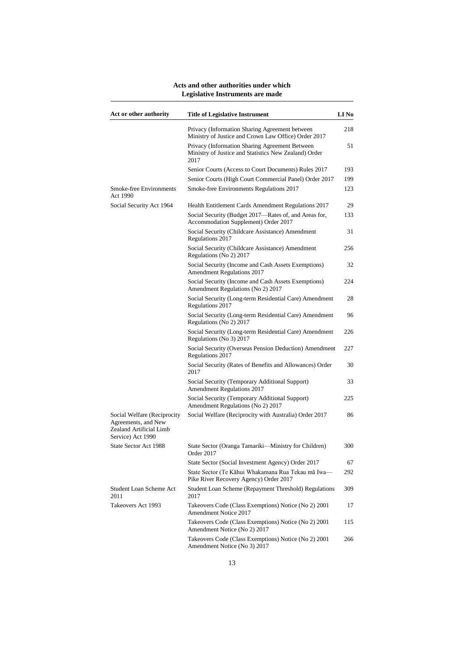| Act or other authority                                                                             | <b>Title of Legislative Instrument</b>                                                                          | LI No |
|----------------------------------------------------------------------------------------------------|-----------------------------------------------------------------------------------------------------------------|-------|
|                                                                                                    | Privacy (Information Sharing Agreement between<br>Ministry of Justice and Crown Law Office) Order 2017          | 218   |
|                                                                                                    | Privacy (Information Sharing Agreement Between<br>Ministry of Justice and Statistics New Zealand) Order<br>2017 | 51    |
|                                                                                                    | Senior Courts (Access to Court Documents) Rules 2017                                                            | 193   |
|                                                                                                    | Senior Courts (High Court Commercial Panel) Order 2017                                                          | 199   |
| <b>Smoke-free Environments</b><br>Act 1990                                                         | Smoke-free Environments Regulations 2017                                                                        | 123   |
| Social Security Act 1964                                                                           | Health Entitlement Cards Amendment Regulations 2017                                                             | 29    |
|                                                                                                    | Social Security (Budget 2017—Rates of, and Areas for,<br>Accommodation Supplement) Order 2017                   | 133   |
|                                                                                                    | Social Security (Childcare Assistance) Amendment<br>Regulations 2017                                            | 31    |
|                                                                                                    | Social Security (Childcare Assistance) Amendment<br>Regulations (No 2) 2017                                     | 256   |
|                                                                                                    | Social Security (Income and Cash Assets Exemptions)<br>Amendment Regulations 2017                               | 32    |
|                                                                                                    | Social Security (Income and Cash Assets Exemptions)<br>Amendment Regulations (No 2) 2017                        | 224   |
|                                                                                                    | Social Security (Long-term Residential Care) Amendment<br>Regulations 2017                                      | 28    |
|                                                                                                    | Social Security (Long-term Residential Care) Amendment<br>Regulations (No 2) 2017                               | 96    |
|                                                                                                    | Social Security (Long-term Residential Care) Amendment<br>Regulations (No 3) 2017                               | 226   |
|                                                                                                    | Social Security (Overseas Pension Deduction) Amendment<br>Regulations 2017                                      | 227   |
|                                                                                                    | Social Security (Rates of Benefits and Allowances) Order<br>2017                                                | 30    |
|                                                                                                    | Social Security (Temporary Additional Support)<br>Amendment Regulations 2017                                    | 33    |
|                                                                                                    | Social Security (Temporary Additional Support)<br>Amendment Regulations (No 2) 2017                             | 225   |
| Social Welfare (Reciprocity<br>Agreements, and New<br>Zealand Artificial Limb<br>Service) Act 1990 | Social Welfare (Reciprocity with Australia) Order 2017                                                          | 86    |
| State Sector Act 1988                                                                              | State Sector (Oranga Tamariki—Ministry for Children)<br>Order 2017                                              | 300   |
|                                                                                                    | State Sector (Social Investment Agency) Order 2017                                                              | 67    |
|                                                                                                    | State Sector (Te Kāhui Whakamana Rua Tekau mā Iwa-<br>Pike River Recovery Agency) Order 2017                    | 292   |
| Student Loan Scheme Act<br>2011                                                                    | Student Loan Scheme (Repayment Threshold) Regulations<br>2017                                                   | 309   |
| Takeovers Act 1993                                                                                 | Takeovers Code (Class Exemptions) Notice (No 2) 2001<br><b>Amendment Notice 2017</b>                            | 17    |
|                                                                                                    | Takeovers Code (Class Exemptions) Notice (No 2) 2001<br>Amendment Notice (No 2) 2017                            | 115   |
|                                                                                                    | Takeovers Code (Class Exemptions) Notice (No 2) 2001<br>Amendment Notice (No 3) 2017                            | 266   |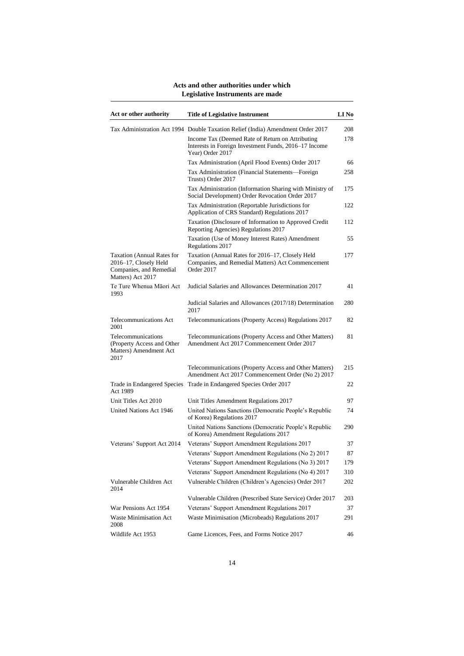| Act or other authority                                                                                     | <b>Title of Legislative Instrument</b>                                                                                        | LI No |
|------------------------------------------------------------------------------------------------------------|-------------------------------------------------------------------------------------------------------------------------------|-------|
|                                                                                                            | Tax Administration Act 1994 Double Taxation Relief (India) Amendment Order 2017                                               | 208   |
|                                                                                                            | Income Tax (Deemed Rate of Return on Attributing<br>Interests in Foreign Investment Funds, 2016-17 Income<br>Year) Order 2017 | 178   |
|                                                                                                            | Tax Administration (April Flood Events) Order 2017                                                                            | 66    |
|                                                                                                            | Tax Administration (Financial Statements-Foreign<br>Trusts) Order 2017                                                        | 258   |
|                                                                                                            | Tax Administration (Information Sharing with Ministry of<br>Social Development) Order Revocation Order 2017                   | 175   |
|                                                                                                            | Tax Administration (Reportable Jurisdictions for<br>Application of CRS Standard) Regulations 2017                             | 122   |
|                                                                                                            | Taxation (Disclosure of Information to Approved Credit<br>Reporting Agencies) Regulations 2017                                | 112   |
|                                                                                                            | Taxation (Use of Money Interest Rates) Amendment<br>Regulations 2017                                                          | 55    |
| <b>Taxation (Annual Rates for</b><br>2016-17, Closely Held<br>Companies, and Remedial<br>Matters) Act 2017 | Taxation (Annual Rates for 2016–17, Closely Held<br>Companies, and Remedial Matters) Act Commencement<br>Order 2017           | 177   |
| Te Ture Whenua Māori Act<br>1993                                                                           | Judicial Salaries and Allowances Determination 2017                                                                           | 41    |
|                                                                                                            | Judicial Salaries and Allowances (2017/18) Determination<br>2017                                                              | 280   |
| Telecommunications Act<br>2001                                                                             | Telecommunications (Property Access) Regulations 2017                                                                         | 82    |
| Telecommunications<br>(Property Access and Other<br>Matters) Amendment Act<br>2017                         | Telecommunications (Property Access and Other Matters)<br>Amendment Act 2017 Commencement Order 2017                          | 81    |
|                                                                                                            | Telecommunications (Property Access and Other Matters)<br>Amendment Act 2017 Commencement Order (No 2) 2017                   | 215   |
| Act 1989                                                                                                   | Trade in Endangered Species Trade in Endangered Species Order 2017                                                            | 22    |
| Unit Titles Act 2010                                                                                       | Unit Titles Amendment Regulations 2017                                                                                        | 97    |
| United Nations Act 1946                                                                                    | United Nations Sanctions (Democratic People's Republic<br>of Korea) Regulations 2017                                          | 74    |
|                                                                                                            | United Nations Sanctions (Democratic People's Republic<br>of Korea) Amendment Regulations 2017                                | 290   |
| Veterans' Support Act 2014                                                                                 | Veterans' Support Amendment Regulations 2017                                                                                  | 37    |
|                                                                                                            | Veterans' Support Amendment Regulations (No 2) 2017                                                                           | 87    |
|                                                                                                            | Veterans' Support Amendment Regulations (No 3) 2017                                                                           | 179   |
|                                                                                                            | Veterans' Support Amendment Regulations (No 4) 2017                                                                           | 310   |
| Vulnerable Children Act<br>2014                                                                            | Vulnerable Children (Children's Agencies) Order 2017                                                                          | 202   |
|                                                                                                            | Vulnerable Children (Prescribed State Service) Order 2017                                                                     | 203   |
| War Pensions Act 1954                                                                                      | Veterans' Support Amendment Regulations 2017                                                                                  | 37    |
| Waste Minimisation Act<br>2008                                                                             | Waste Minimisation (Microbeads) Regulations 2017                                                                              | 291   |
| Wildlife Act 1953                                                                                          | Game Licences, Fees, and Forms Notice 2017                                                                                    | 46    |